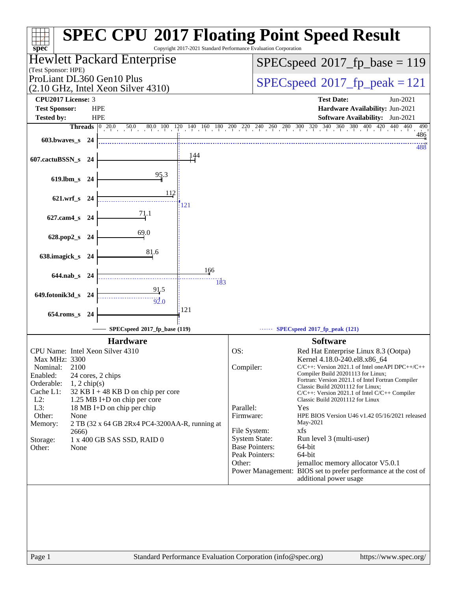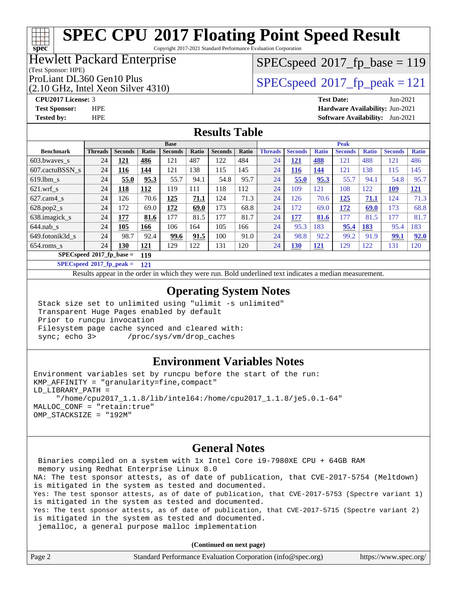Copyright 2017-2021 Standard Performance Evaluation Corporation

## Hewlett Packard Enterprise

(Test Sponsor: HPE)

(2.10 GHz, Intel Xeon Silver 4310)

[SPECspeed](http://www.spec.org/auto/cpu2017/Docs/result-fields.html#SPECspeed2017fpbase)<sup>®</sup>2017 fp base = 119

## ProLiant DL360 Gen10 Plus  $\text{SPEC speed}^{\circ}2017\text{ fp-peak} = 121$

**[spec](http://www.spec.org/)**

**[CPU2017 License:](http://www.spec.org/auto/cpu2017/Docs/result-fields.html#CPU2017License)** 3 **[Test Date:](http://www.spec.org/auto/cpu2017/Docs/result-fields.html#TestDate)** Jun-2021 **[Test Sponsor:](http://www.spec.org/auto/cpu2017/Docs/result-fields.html#TestSponsor)** HPE **[Hardware Availability:](http://www.spec.org/auto/cpu2017/Docs/result-fields.html#HardwareAvailability)** Jun-2021 **[Tested by:](http://www.spec.org/auto/cpu2017/Docs/result-fields.html#Testedby)** HPE **[Software Availability:](http://www.spec.org/auto/cpu2017/Docs/result-fields.html#SoftwareAvailability)** Jun-2021

## **[Results Table](http://www.spec.org/auto/cpu2017/Docs/result-fields.html#ResultsTable)**

|                                           | <b>Base</b>    |                |            |                | <b>Peak</b> |                |       |                |                |              |                |              |                |              |
|-------------------------------------------|----------------|----------------|------------|----------------|-------------|----------------|-------|----------------|----------------|--------------|----------------|--------------|----------------|--------------|
| <b>Benchmark</b>                          | <b>Threads</b> | <b>Seconds</b> | Ratio      | <b>Seconds</b> | Ratio       | <b>Seconds</b> | Ratio | <b>Threads</b> | <b>Seconds</b> | <b>Ratio</b> | <b>Seconds</b> | <b>Ratio</b> | <b>Seconds</b> | <b>Ratio</b> |
| 603.bwayes s                              | 24             | 121            | 486        | 121            | 487         | 122            | 484   | 24             | <u>121</u>     | 488          | 121            | 488          | 121            | 486          |
| 607.cactuBSSN s                           | 24             | <u>116</u>     | 144        | 121            | 138         | 115            | 145   | 24             | <u>116</u>     | <u>144</u>   | 121            | 138          | 115            | 145          |
| $619.$ lbm s                              | 24             | 55.0           | 95.3       | 55.7           | 94.1        | 54.8           | 95.7  | 24             | 55.0           | 95.3         | 55.7           | 94.1         | 54.8           | 95.7         |
| $621$ .wrf s                              | 24             | <u> 118</u>    | <u>112</u> | 119            | 111         | 118            | 112   | 24             | 109            | 121          | 108            | 122          | <u>109</u>     | 121          |
| $627$ .cam $4 \text{ s}$                  | 24             | 126            | 70.6       | 125            | 71.1        | 124            | 71.3  | 24             | 126            | 70.6         | 125            | 71.1         | 124            | 71.3         |
| $628.pop2_s$                              | 24             | 172            | 69.0       | 172            | 69.0        | 173            | 68.8  | 24             | 172            | 69.0         | 172            | 69.0         | 173            | 68.8         |
| 638.imagick_s                             | 24             | 177            | 81.6       | 177            | 81.5        | 177            | 81.7  | 24             | 177            | 81.6         | 177            | 81.5         | 177            | 81.7         |
| $644$ .nab s                              | 24             | 105            | 166        | 106            | 164         | 105            | 166   | 24             | 95.3           | 183          | 95.4           | 183          | 95.4           | 183          |
| 649.fotonik3d s                           | 24             | 98.7           | 92.4       | 99.6           | 91.5        | 100            | 91.0  | 24             | 98.8           | 92.2         | 99.2           | 91.9         | 99.1           | 92.0         |
| $654$ .roms s                             | 24             | <b>130</b>     | 121        | 129            | 122         | 131            | 120   | 24             | <b>130</b>     | <u>121</u>   | 129            | 122          | 131            | 120          |
| $SPECspeed^{\circ 2017}$ fp base =<br>119 |                |                |            |                |             |                |       |                |                |              |                |              |                |              |

**[SPECspeed](http://www.spec.org/auto/cpu2017/Docs/result-fields.html#SPECspeed2017fppeak)[2017\\_fp\\_peak =](http://www.spec.org/auto/cpu2017/Docs/result-fields.html#SPECspeed2017fppeak) 121**

Results appear in the [order in which they were run.](http://www.spec.org/auto/cpu2017/Docs/result-fields.html#RunOrder) Bold underlined text [indicates a median measurement](http://www.spec.org/auto/cpu2017/Docs/result-fields.html#Median).

## **[Operating System Notes](http://www.spec.org/auto/cpu2017/Docs/result-fields.html#OperatingSystemNotes)**

 Stack size set to unlimited using "ulimit -s unlimited" Transparent Huge Pages enabled by default Prior to runcpu invocation Filesystem page cache synced and cleared with: sync; echo 3> /proc/sys/vm/drop\_caches

## **[Environment Variables Notes](http://www.spec.org/auto/cpu2017/Docs/result-fields.html#EnvironmentVariablesNotes)**

Environment variables set by runcpu before the start of the run: KMP\_AFFINITY = "granularity=fine,compact" LD\_LIBRARY\_PATH = "/home/cpu2017\_1.1.8/lib/intel64:/home/cpu2017\_1.1.8/je5.0.1-64" MALLOC\_CONF = "retain:true" OMP\_STACKSIZE = "192M"

## **[General Notes](http://www.spec.org/auto/cpu2017/Docs/result-fields.html#GeneralNotes)**

 Binaries compiled on a system with 1x Intel Core i9-7980XE CPU + 64GB RAM memory using Redhat Enterprise Linux 8.0 NA: The test sponsor attests, as of date of publication, that CVE-2017-5754 (Meltdown) is mitigated in the system as tested and documented. Yes: The test sponsor attests, as of date of publication, that CVE-2017-5753 (Spectre variant 1) is mitigated in the system as tested and documented. Yes: The test sponsor attests, as of date of publication, that CVE-2017-5715 (Spectre variant 2) is mitigated in the system as tested and documented. jemalloc, a general purpose malloc implementation

**(Continued on next page)**

| Page 2<br>Standard Performance Evaluation Corporation (info@spec.org)<br>https://www.spec.org/ |
|------------------------------------------------------------------------------------------------|
|------------------------------------------------------------------------------------------------|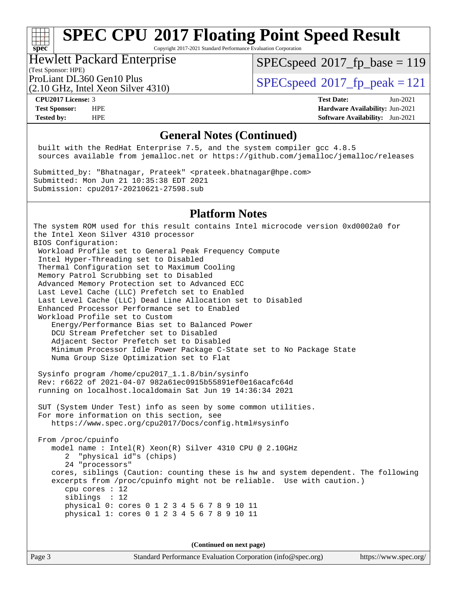Copyright 2017-2021 Standard Performance Evaluation Corporation

## Hewlett Packard Enterprise

[SPECspeed](http://www.spec.org/auto/cpu2017/Docs/result-fields.html#SPECspeed2017fpbase)<sup>®</sup>2017 fp base = 119

(Test Sponsor: HPE)

(2.10 GHz, Intel Xeon Silver 4310)

ProLiant DL360 Gen10 Plus  $SPEC speed@2017$  fp\_peak = 121

**[spec](http://www.spec.org/)**

**[CPU2017 License:](http://www.spec.org/auto/cpu2017/Docs/result-fields.html#CPU2017License)** 3 **[Test Date:](http://www.spec.org/auto/cpu2017/Docs/result-fields.html#TestDate)** Jun-2021 **[Test Sponsor:](http://www.spec.org/auto/cpu2017/Docs/result-fields.html#TestSponsor)** HPE **[Hardware Availability:](http://www.spec.org/auto/cpu2017/Docs/result-fields.html#HardwareAvailability)** Jun-2021 **[Tested by:](http://www.spec.org/auto/cpu2017/Docs/result-fields.html#Testedby)** HPE **[Software Availability:](http://www.spec.org/auto/cpu2017/Docs/result-fields.html#SoftwareAvailability)** Jun-2021

## **[General Notes \(Continued\)](http://www.spec.org/auto/cpu2017/Docs/result-fields.html#GeneralNotes)**

 built with the RedHat Enterprise 7.5, and the system compiler gcc 4.8.5 sources available from jemalloc.net or <https://github.com/jemalloc/jemalloc/releases>

Submitted\_by: "Bhatnagar, Prateek" <prateek.bhatnagar@hpe.com> Submitted: Mon Jun 21 10:35:38 EDT 2021 Submission: cpu2017-20210621-27598.sub

## **[Platform Notes](http://www.spec.org/auto/cpu2017/Docs/result-fields.html#PlatformNotes)**

The system ROM used for this result contains Intel microcode version 0xd0002a0 for the Intel Xeon Silver 4310 processor BIOS Configuration: Workload Profile set to General Peak Frequency Compute Intel Hyper-Threading set to Disabled Thermal Configuration set to Maximum Cooling Memory Patrol Scrubbing set to Disabled Advanced Memory Protection set to Advanced ECC Last Level Cache (LLC) Prefetch set to Enabled Last Level Cache (LLC) Dead Line Allocation set to Disabled Enhanced Processor Performance set to Enabled Workload Profile set to Custom Energy/Performance Bias set to Balanced Power DCU Stream Prefetcher set to Disabled Adjacent Sector Prefetch set to Disabled Minimum Processor Idle Power Package C-State set to No Package State Numa Group Size Optimization set to Flat Sysinfo program /home/cpu2017\_1.1.8/bin/sysinfo Rev: r6622 of 2021-04-07 982a61ec0915b55891ef0e16acafc64d running on localhost.localdomain Sat Jun 19 14:36:34 2021 SUT (System Under Test) info as seen by some common utilities. For more information on this section, see <https://www.spec.org/cpu2017/Docs/config.html#sysinfo> From /proc/cpuinfo model name : Intel(R) Xeon(R) Silver 4310 CPU @ 2.10GHz 2 "physical id"s (chips) 24 "processors" cores, siblings (Caution: counting these is hw and system dependent. The following

 excerpts from /proc/cpuinfo might not be reliable. Use with caution.) cpu cores : 12 siblings : 12 physical 0: cores 0 1 2 3 4 5 6 7 8 9 10 11 physical 1: cores 0 1 2 3 4 5 6 7 8 9 10 11

**(Continued on next page)**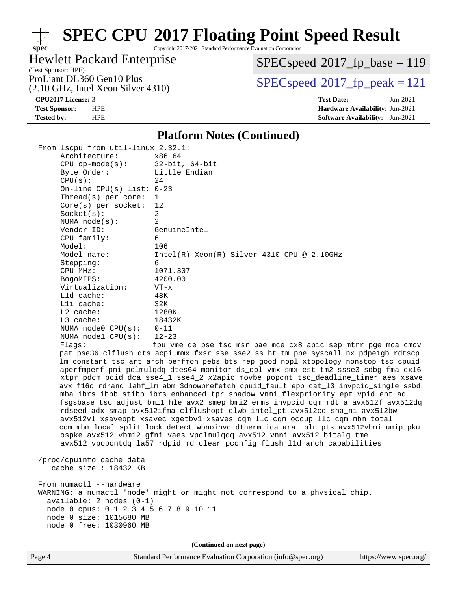Copyright 2017-2021 Standard Performance Evaluation Corporation

## Hewlett Packard Enterprise

 $SPECspeed^{\circledcirc}2017_fp\_base = 119$  $SPECspeed^{\circledcirc}2017_fp\_base = 119$ 

(Test Sponsor: HPE)

(2.10 GHz, Intel Xeon Silver 4310)

ProLiant DL360 Gen10 Plus  $\begin{array}{c} \text{SPEC speed} \textcirc 2017\_fp\_peak = 121 \\ \text{SPEC speed} \textcirc 2017\_fp\_peak = 121 \end{array}$ 

**[spec](http://www.spec.org/)**

**[CPU2017 License:](http://www.spec.org/auto/cpu2017/Docs/result-fields.html#CPU2017License)** 3 **[Test Date:](http://www.spec.org/auto/cpu2017/Docs/result-fields.html#TestDate)** Jun-2021 **[Test Sponsor:](http://www.spec.org/auto/cpu2017/Docs/result-fields.html#TestSponsor)** HPE **[Hardware Availability:](http://www.spec.org/auto/cpu2017/Docs/result-fields.html#HardwareAvailability)** Jun-2021 **[Tested by:](http://www.spec.org/auto/cpu2017/Docs/result-fields.html#Testedby)** HPE **[Software Availability:](http://www.spec.org/auto/cpu2017/Docs/result-fields.html#SoftwareAvailability)** Jun-2021

### **[Platform Notes \(Continued\)](http://www.spec.org/auto/cpu2017/Docs/result-fields.html#PlatformNotes)**

| From lscpu from util-linux 2.32.1:                                                   |                                                                                      |  |  |  |  |  |
|--------------------------------------------------------------------------------------|--------------------------------------------------------------------------------------|--|--|--|--|--|
| Architecture:                                                                        | x86 64                                                                               |  |  |  |  |  |
| $CPU$ op-mode(s):                                                                    | $32$ -bit, $64$ -bit                                                                 |  |  |  |  |  |
| Byte Order:                                                                          | Little Endian                                                                        |  |  |  |  |  |
| CPU(s):                                                                              | 24                                                                                   |  |  |  |  |  |
| On-line CPU(s) list: $0-23$                                                          |                                                                                      |  |  |  |  |  |
| Thread(s) per core:                                                                  | $\mathbf{1}$                                                                         |  |  |  |  |  |
| Core(s) per socket:                                                                  | 12                                                                                   |  |  |  |  |  |
| Socket(s):                                                                           | $\overline{a}$                                                                       |  |  |  |  |  |
| NUMA $node(s):$                                                                      | $\overline{2}$                                                                       |  |  |  |  |  |
| Vendor ID:                                                                           | GenuineIntel                                                                         |  |  |  |  |  |
| CPU family:                                                                          | 6                                                                                    |  |  |  |  |  |
| Model:                                                                               | 106                                                                                  |  |  |  |  |  |
| Model name:                                                                          | $Intel(R) Xeon(R) Silver 4310 CPU @ 2.10GHz$                                         |  |  |  |  |  |
| Stepping:                                                                            | 6                                                                                    |  |  |  |  |  |
| CPU MHz:                                                                             | 1071.307                                                                             |  |  |  |  |  |
| BogoMIPS:                                                                            | 4200.00                                                                              |  |  |  |  |  |
| Virtualization:                                                                      | $VT - x$                                                                             |  |  |  |  |  |
| Lld cache:                                                                           | 48K                                                                                  |  |  |  |  |  |
| Lli cache:                                                                           | 32K                                                                                  |  |  |  |  |  |
| $L2$ cache:                                                                          | 1280K                                                                                |  |  |  |  |  |
| L3 cache:                                                                            | 18432K                                                                               |  |  |  |  |  |
| NUMA node0 CPU(s):                                                                   | $0 - 11$                                                                             |  |  |  |  |  |
| NUMA $node1$ $CPU(s)$ :                                                              | $12 - 23$                                                                            |  |  |  |  |  |
| Flags:                                                                               | fpu vme de pse tsc msr pae mce cx8 apic sep mtrr pge mca cmov                        |  |  |  |  |  |
|                                                                                      | pat pse36 clflush dts acpi mmx fxsr sse sse2 ss ht tm pbe syscall nx pdpelgb rdtscp  |  |  |  |  |  |
|                                                                                      | lm constant_tsc art arch_perfmon pebs bts rep_good nopl xtopology nonstop_tsc cpuid  |  |  |  |  |  |
|                                                                                      | aperfmperf pni pclmulqdq dtes64 monitor ds_cpl vmx smx est tm2 ssse3 sdbg fma cx16   |  |  |  |  |  |
|                                                                                      | xtpr pdcm pcid dca sse4_1 sse4_2 x2apic movbe popcnt tsc_deadline_timer aes xsave    |  |  |  |  |  |
| avx f16c rdrand lahf_lm abm 3dnowprefetch cpuid_fault epb cat_13 invpcid_single ssbd |                                                                                      |  |  |  |  |  |
|                                                                                      | mba ibrs ibpb stibp ibrs_enhanced tpr_shadow vnmi flexpriority ept vpid ept_ad       |  |  |  |  |  |
|                                                                                      | fsgsbase tsc_adjust bmil hle avx2 smep bmi2 erms invpcid cqm rdt_a avx512f avx512dq  |  |  |  |  |  |
|                                                                                      | rdseed adx smap avx512ifma clflushopt clwb intel_pt avx512cd sha_ni avx512bw         |  |  |  |  |  |
|                                                                                      | avx512vl xsaveopt xsavec xgetbvl xsaves cqm_llc cqm_occup_llc cqm_mbm_total          |  |  |  |  |  |
|                                                                                      | cqm_mbm_local split_lock_detect wbnoinvd dtherm ida arat pln pts avx512vbmi umip pku |  |  |  |  |  |
|                                                                                      | ospke avx512_vbmi2 gfni vaes vpclmulqdq avx512_vnni avx512_bitalg tme                |  |  |  |  |  |
|                                                                                      | avx512_vpopcntdq la57 rdpid md_clear pconfig flush_lld arch_capabilities             |  |  |  |  |  |
|                                                                                      |                                                                                      |  |  |  |  |  |
| /proc/cpuinfo cache data                                                             |                                                                                      |  |  |  |  |  |
| cache size : 18432 KB                                                                |                                                                                      |  |  |  |  |  |
|                                                                                      |                                                                                      |  |  |  |  |  |
| From numactl --hardware                                                              |                                                                                      |  |  |  |  |  |
| WARNING: a numactl 'node' might or might not correspond to a physical chip.          |                                                                                      |  |  |  |  |  |
| $available: 2 nodes (0-1)$                                                           |                                                                                      |  |  |  |  |  |
| node 0 cpus: 0 1 2 3 4 5 6 7 8 9 10 11                                               |                                                                                      |  |  |  |  |  |
| node 0 size: 1015680 MB                                                              |                                                                                      |  |  |  |  |  |

**(Continued on next page)**

node 0 free: 1030960 MB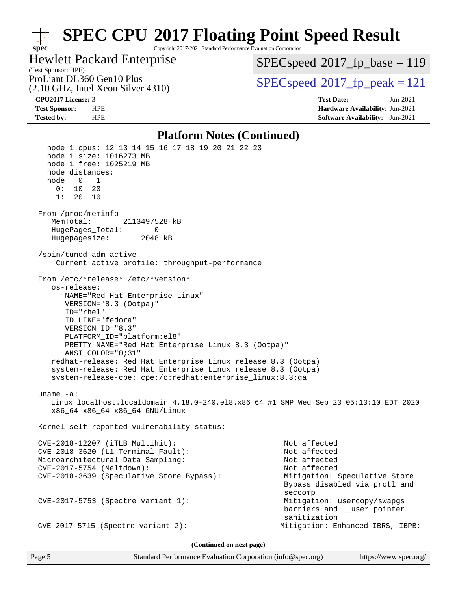#### **[spec](http://www.spec.org/) [SPEC CPU](http://www.spec.org/auto/cpu2017/Docs/result-fields.html#SPECCPU2017FloatingPointSpeedResult)[2017 Floating Point Speed Result](http://www.spec.org/auto/cpu2017/Docs/result-fields.html#SPECCPU2017FloatingPointSpeedResult)** Copyright 2017-2021 Standard Performance Evaluation Corporation

(Test Sponsor: HPE) Hewlett Packard Enterprise

[SPECspeed](http://www.spec.org/auto/cpu2017/Docs/result-fields.html#SPECspeed2017fpbase)<sup>®</sup>2017 fp base = 119

(2.10 GHz, Intel Xeon Silver 4310)

ProLiant DL360 Gen10 Plus  $SPEC speed@2017$  fp\_peak = 121

**[CPU2017 License:](http://www.spec.org/auto/cpu2017/Docs/result-fields.html#CPU2017License)** 3 **[Test Date:](http://www.spec.org/auto/cpu2017/Docs/result-fields.html#TestDate)** Jun-2021 **[Test Sponsor:](http://www.spec.org/auto/cpu2017/Docs/result-fields.html#TestSponsor)** HPE **[Hardware Availability:](http://www.spec.org/auto/cpu2017/Docs/result-fields.html#HardwareAvailability)** Jun-2021 **[Tested by:](http://www.spec.org/auto/cpu2017/Docs/result-fields.html#Testedby)** HPE **[Software Availability:](http://www.spec.org/auto/cpu2017/Docs/result-fields.html#SoftwareAvailability)** Jun-2021

### **[Platform Notes \(Continued\)](http://www.spec.org/auto/cpu2017/Docs/result-fields.html#PlatformNotes)**

```
 node 1 cpus: 12 13 14 15 16 17 18 19 20 21 22 23
   node 1 size: 1016273 MB
   node 1 free: 1025219 MB
   node distances:
   node 0 1
     0: 10 20
     1: 20 10
 From /proc/meminfo
    MemTotal: 2113497528 kB
    HugePages_Total: 0
    Hugepagesize: 2048 kB
 /sbin/tuned-adm active
     Current active profile: throughput-performance
 From /etc/*release* /etc/*version*
    os-release:
       NAME="Red Hat Enterprise Linux"
       VERSION="8.3 (Ootpa)"
       ID="rhel"
       ID_LIKE="fedora"
       VERSION_ID="8.3"
       PLATFORM_ID="platform:el8"
       PRETTY_NAME="Red Hat Enterprise Linux 8.3 (Ootpa)"
       ANSI_COLOR="0;31"
    redhat-release: Red Hat Enterprise Linux release 8.3 (Ootpa)
    system-release: Red Hat Enterprise Linux release 8.3 (Ootpa)
    system-release-cpe: cpe:/o:redhat:enterprise_linux:8.3:ga
 uname -a:
    Linux localhost.localdomain 4.18.0-240.el8.x86_64 #1 SMP Wed Sep 23 05:13:10 EDT 2020
    x86_64 x86_64 x86_64 GNU/Linux
 Kernel self-reported vulnerability status:
 CVE-2018-12207 (iTLB Multihit): Not affected
 CVE-2018-3620 (L1 Terminal Fault): Not affected
Microarchitectural Data Sampling: Not affected
 CVE-2017-5754 (Meltdown): Not affected
 CVE-2018-3639 (Speculative Store Bypass): Mitigation: Speculative Store
                                                          Bypass disabled via prctl and
seccomplex and the contract of the contract of the contract of the second seconds of the seconds of the seconds of the seconds of the seconds of the seconds of the seconds of the seconds of the seconds of the seconds of th
 CVE-2017-5753 (Spectre variant 1): Mitigation: usercopy/swapgs
                                                          barriers and __user pointer
                                                          sanitization
 CVE-2017-5715 (Spectre variant 2): Mitigation: Enhanced IBRS, IBPB:
                                    (Continued on next page)
```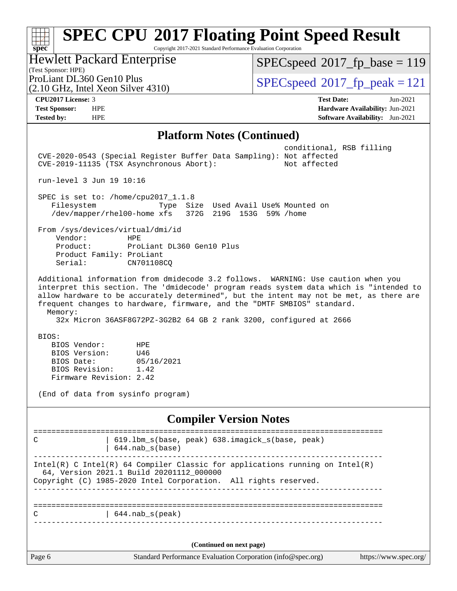#### **[spec](http://www.spec.org/) [SPEC CPU](http://www.spec.org/auto/cpu2017/Docs/result-fields.html#SPECCPU2017FloatingPointSpeedResult)[2017 Floating Point Speed Result](http://www.spec.org/auto/cpu2017/Docs/result-fields.html#SPECCPU2017FloatingPointSpeedResult)** Copyright 2017-2021 Standard Performance Evaluation Corporation Hewlett Packard Enterprise

(Test Sponsor: HPE)

 $SPEC speed$ <sup>®</sup> $2017$ \_fp\_base = 119

(2.10 GHz, Intel Xeon Silver 4310)

ProLiant DL360 Gen10 Plus  $\begin{array}{c} \text{SPEC speed} \textcirc 2017\_fp\_peak = 121 \\ \text{SPEC speed} \textcirc 2017\_fp\_peak = 121 \end{array}$ 

**[CPU2017 License:](http://www.spec.org/auto/cpu2017/Docs/result-fields.html#CPU2017License)** 3 **[Test Date:](http://www.spec.org/auto/cpu2017/Docs/result-fields.html#TestDate)** Jun-2021 **[Test Sponsor:](http://www.spec.org/auto/cpu2017/Docs/result-fields.html#TestSponsor)** HPE **[Hardware Availability:](http://www.spec.org/auto/cpu2017/Docs/result-fields.html#HardwareAvailability)** Jun-2021 **[Tested by:](http://www.spec.org/auto/cpu2017/Docs/result-fields.html#Testedby)** HPE **[Software Availability:](http://www.spec.org/auto/cpu2017/Docs/result-fields.html#SoftwareAvailability)** Jun-2021

## **[Platform Notes \(Continued\)](http://www.spec.org/auto/cpu2017/Docs/result-fields.html#PlatformNotes)**

| conditional, RSB filling<br>CVE-2020-0543 (Special Register Buffer Data Sampling): Not affected<br>CVE-2019-11135 (TSX Asynchronous Abort):<br>Not affected                                                                                                                                                                                                   |  |
|---------------------------------------------------------------------------------------------------------------------------------------------------------------------------------------------------------------------------------------------------------------------------------------------------------------------------------------------------------------|--|
| run-level 3 Jun 19 10:16                                                                                                                                                                                                                                                                                                                                      |  |
| SPEC is set to: /home/cpu2017_1.1.8<br>Filesystem<br>Type Size Used Avail Use% Mounted on<br>/dev/mapper/rhel00-home xfs 372G 219G 153G 59% /home                                                                                                                                                                                                             |  |
| From /sys/devices/virtual/dmi/id<br>Vendor:<br><b>HPE</b><br>Product:<br>ProLiant DL360 Gen10 Plus<br>Product Family: ProLiant<br>Serial:<br>CN701108CO                                                                                                                                                                                                       |  |
| Additional information from dmidecode 3.2 follows. WARNING: Use caution when you<br>interpret this section. The 'dmidecode' program reads system data which is "intended to<br>allow hardware to be accurately determined", but the intent may not be met, as there are<br>frequent changes to hardware, firmware, and the "DMTF SMBIOS" standard.<br>Memory: |  |
| 32x Micron 36ASF8G72PZ-3G2B2 64 GB 2 rank 3200, configured at 2666                                                                                                                                                                                                                                                                                            |  |
| BIOS:<br>BIOS Vendor:<br><b>HPE</b><br>BIOS Version:<br>U46<br>BIOS Date:<br>05/16/2021<br>BIOS Revision:<br>1.42<br>Firmware Revision: 2.42                                                                                                                                                                                                                  |  |
| (End of data from sysinfo program)                                                                                                                                                                                                                                                                                                                            |  |
| <b>Compiler Version Notes</b>                                                                                                                                                                                                                                                                                                                                 |  |
| =======================<br>619.1bm_s(base, peak) 638.imagick_s(base, peak)<br>C<br>$644.nab_s(base)$                                                                                                                                                                                                                                                          |  |
| Intel(R) C Intel(R) 64 Compiler Classic for applications running on $Intel(R)$<br>64, Version 2021.1 Build 20201112_000000<br>Copyright (C) 1985-2020 Intel Corporation. All rights reserved.                                                                                                                                                                 |  |
| $644.nab_s(peak)$<br>С                                                                                                                                                                                                                                                                                                                                        |  |
|                                                                                                                                                                                                                                                                                                                                                               |  |
| (Continued on next page)                                                                                                                                                                                                                                                                                                                                      |  |
| Standard Performance Evaluation Corporation (info@spec.org)<br>Page 6<br>https://www.spec.org/                                                                                                                                                                                                                                                                |  |
|                                                                                                                                                                                                                                                                                                                                                               |  |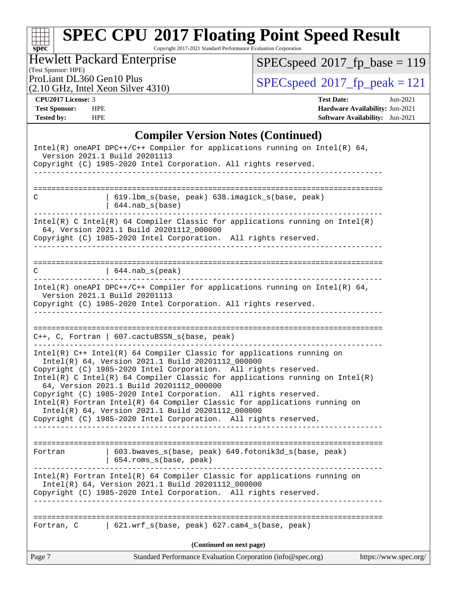Copyright 2017-2021 Standard Performance Evaluation Corporation

# Hewlett Packard Enterprise

 $SPEC speed$ <sup>®</sup> $2017$ \_fp\_base = 119

(Test Sponsor: HPE)

(2.10 GHz, Intel Xeon Silver 4310)

ProLiant DL360 Gen10 Plus  $\begin{array}{c} \text{SPEC speed} \textcirc 2017\_fp\_peak = 121 \\ \text{SPEC speed} \textcirc 2017\_fp\_peak = 121 \end{array}$ 

**[spec](http://www.spec.org/)**

**[CPU2017 License:](http://www.spec.org/auto/cpu2017/Docs/result-fields.html#CPU2017License)** 3 **[Test Date:](http://www.spec.org/auto/cpu2017/Docs/result-fields.html#TestDate)** Jun-2021 **[Test Sponsor:](http://www.spec.org/auto/cpu2017/Docs/result-fields.html#TestSponsor)** HPE **[Hardware Availability:](http://www.spec.org/auto/cpu2017/Docs/result-fields.html#HardwareAvailability)** Jun-2021 **[Tested by:](http://www.spec.org/auto/cpu2017/Docs/result-fields.html#Testedby)** HPE **[Software Availability:](http://www.spec.org/auto/cpu2017/Docs/result-fields.html#SoftwareAvailability)** Jun-2021

## **[Compiler Version Notes \(Continued\)](http://www.spec.org/auto/cpu2017/Docs/result-fields.html#CompilerVersionNotes)**

| C           | 619.1bm_s(base, peak) 638.imagick_s(base, peak)<br>$644.nab_s(base)$                                                                                                                                                                                                                                                                                                                                                                                                                                                                                                                              |                       |
|-------------|---------------------------------------------------------------------------------------------------------------------------------------------------------------------------------------------------------------------------------------------------------------------------------------------------------------------------------------------------------------------------------------------------------------------------------------------------------------------------------------------------------------------------------------------------------------------------------------------------|-----------------------|
|             | Intel(R) C Intel(R) 64 Compiler Classic for applications running on Intel(R)<br>64, Version 2021.1 Build 20201112_000000<br>Copyright (C) 1985-2020 Intel Corporation. All rights reserved.<br>____________________________                                                                                                                                                                                                                                                                                                                                                                       |                       |
| $\mathbf C$ | $(644.nab_s(peak))$                                                                                                                                                                                                                                                                                                                                                                                                                                                                                                                                                                               |                       |
|             | Intel(R) oneAPI DPC++/C++ Compiler for applications running on Intel(R) 64,<br>Version 2021.1 Build 20201113<br>Copyright (C) 1985-2020 Intel Corporation. All rights reserved.                                                                                                                                                                                                                                                                                                                                                                                                                   |                       |
|             |                                                                                                                                                                                                                                                                                                                                                                                                                                                                                                                                                                                                   |                       |
|             | C++, C, Fortran   607.cactuBSSN_s(base, peak)                                                                                                                                                                                                                                                                                                                                                                                                                                                                                                                                                     |                       |
|             | Intel(R) C++ Intel(R) 64 Compiler Classic for applications running on<br>Intel(R) 64, Version 2021.1 Build 20201112_000000<br>Copyright (C) 1985-2020 Intel Corporation. All rights reserved.<br>Intel(R) C Intel(R) 64 Compiler Classic for applications running on Intel(R)<br>64, Version 2021.1 Build 20201112_000000<br>Copyright (C) 1985-2020 Intel Corporation. All rights reserved.<br>Intel(R) Fortran Intel(R) 64 Compiler Classic for applications running on<br>Intel(R) 64, Version 2021.1 Build 20201112_000000<br>Copyright (C) 1985-2020 Intel Corporation. All rights reserved. |                       |
| Fortran     | 603.bwaves_s(base, peak) 649.fotonik3d_s(base, peak)                                                                                                                                                                                                                                                                                                                                                                                                                                                                                                                                              |                       |
|             | 654.roms_s(base, peak)<br>Intel(R) Fortran Intel(R) 64 Compiler Classic for applications running on<br>Intel(R) 64, Version 2021.1 Build 20201112_000000<br>Copyright (C) 1985-2020 Intel Corporation. All rights reserved.                                                                                                                                                                                                                                                                                                                                                                       |                       |
| Fortran, C  | $\vert$ 621.wrf_s(base, peak) 627.cam4_s(base, peak)                                                                                                                                                                                                                                                                                                                                                                                                                                                                                                                                              |                       |
|             | (Continued on next page)                                                                                                                                                                                                                                                                                                                                                                                                                                                                                                                                                                          |                       |
| Page 7      | Standard Performance Evaluation Corporation (info@spec.org)                                                                                                                                                                                                                                                                                                                                                                                                                                                                                                                                       | https://www.spec.org/ |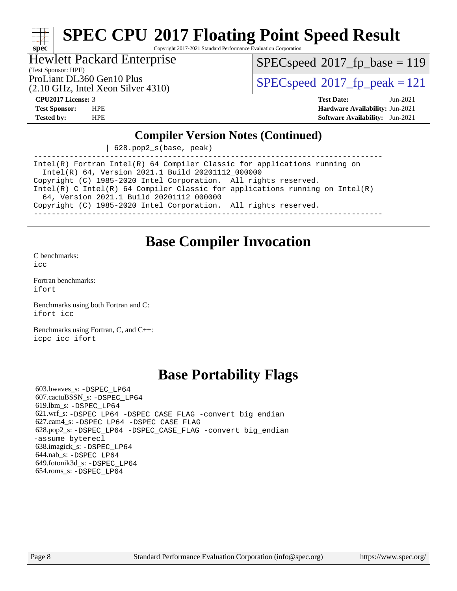Copyright 2017-2021 Standard Performance Evaluation Corporation

## Hewlett Packard Enterprise

[SPECspeed](http://www.spec.org/auto/cpu2017/Docs/result-fields.html#SPECspeed2017fpbase)<sup>®</sup>2017 fp base = 119

(Test Sponsor: HPE)

(2.10 GHz, Intel Xeon Silver 4310)

ProLiant DL360 Gen10 Plus  $\text{SPEC speed}^{\circ}2017\text{ fp-peak} = 121$ 

**[spec](http://www.spec.org/)**

**[CPU2017 License:](http://www.spec.org/auto/cpu2017/Docs/result-fields.html#CPU2017License)** 3 **[Test Date:](http://www.spec.org/auto/cpu2017/Docs/result-fields.html#TestDate)** Jun-2021 **[Test Sponsor:](http://www.spec.org/auto/cpu2017/Docs/result-fields.html#TestSponsor)** HPE **[Hardware Availability:](http://www.spec.org/auto/cpu2017/Docs/result-fields.html#HardwareAvailability)** Jun-2021 **[Tested by:](http://www.spec.org/auto/cpu2017/Docs/result-fields.html#Testedby)** HPE **[Software Availability:](http://www.spec.org/auto/cpu2017/Docs/result-fields.html#SoftwareAvailability)** Jun-2021

## **[Compiler Version Notes \(Continued\)](http://www.spec.org/auto/cpu2017/Docs/result-fields.html#CompilerVersionNotes)**

| 628.pop2\_s(base, peak)

------------------------------------------------------------------------------ Intel(R) Fortran Intel(R) 64 Compiler Classic for applications running on Intel(R) 64, Version 2021.1 Build 20201112\_000000 Copyright (C) 1985-2020 Intel Corporation. All rights reserved. Intel(R) C Intel(R) 64 Compiler Classic for applications running on Intel(R) 64, Version 2021.1 Build 20201112\_000000 Copyright (C) 1985-2020 Intel Corporation. All rights reserved. ------------------------------------------------------------------------------

## **[Base Compiler Invocation](http://www.spec.org/auto/cpu2017/Docs/result-fields.html#BaseCompilerInvocation)**

[C benchmarks](http://www.spec.org/auto/cpu2017/Docs/result-fields.html#Cbenchmarks): [icc](http://www.spec.org/cpu2017/results/res2021q3/cpu2017-20210621-27598.flags.html#user_CCbase_intel_icc_66fc1ee009f7361af1fbd72ca7dcefbb700085f36577c54f309893dd4ec40d12360134090235512931783d35fd58c0460139e722d5067c5574d8eaf2b3e37e92)

[Fortran benchmarks](http://www.spec.org/auto/cpu2017/Docs/result-fields.html#Fortranbenchmarks): [ifort](http://www.spec.org/cpu2017/results/res2021q3/cpu2017-20210621-27598.flags.html#user_FCbase_intel_ifort_8111460550e3ca792625aed983ce982f94888b8b503583aa7ba2b8303487b4d8a21a13e7191a45c5fd58ff318f48f9492884d4413fa793fd88dd292cad7027ca)

[Benchmarks using both Fortran and C](http://www.spec.org/auto/cpu2017/Docs/result-fields.html#BenchmarksusingbothFortranandC): [ifort](http://www.spec.org/cpu2017/results/res2021q3/cpu2017-20210621-27598.flags.html#user_CC_FCbase_intel_ifort_8111460550e3ca792625aed983ce982f94888b8b503583aa7ba2b8303487b4d8a21a13e7191a45c5fd58ff318f48f9492884d4413fa793fd88dd292cad7027ca) [icc](http://www.spec.org/cpu2017/results/res2021q3/cpu2017-20210621-27598.flags.html#user_CC_FCbase_intel_icc_66fc1ee009f7361af1fbd72ca7dcefbb700085f36577c54f309893dd4ec40d12360134090235512931783d35fd58c0460139e722d5067c5574d8eaf2b3e37e92)

[Benchmarks using Fortran, C, and C++:](http://www.spec.org/auto/cpu2017/Docs/result-fields.html#BenchmarksusingFortranCandCXX) [icpc](http://www.spec.org/cpu2017/results/res2021q3/cpu2017-20210621-27598.flags.html#user_CC_CXX_FCbase_intel_icpc_c510b6838c7f56d33e37e94d029a35b4a7bccf4766a728ee175e80a419847e808290a9b78be685c44ab727ea267ec2f070ec5dc83b407c0218cded6866a35d07) [icc](http://www.spec.org/cpu2017/results/res2021q3/cpu2017-20210621-27598.flags.html#user_CC_CXX_FCbase_intel_icc_66fc1ee009f7361af1fbd72ca7dcefbb700085f36577c54f309893dd4ec40d12360134090235512931783d35fd58c0460139e722d5067c5574d8eaf2b3e37e92) [ifort](http://www.spec.org/cpu2017/results/res2021q3/cpu2017-20210621-27598.flags.html#user_CC_CXX_FCbase_intel_ifort_8111460550e3ca792625aed983ce982f94888b8b503583aa7ba2b8303487b4d8a21a13e7191a45c5fd58ff318f48f9492884d4413fa793fd88dd292cad7027ca)

## **[Base Portability Flags](http://www.spec.org/auto/cpu2017/Docs/result-fields.html#BasePortabilityFlags)**

 603.bwaves\_s: [-DSPEC\\_LP64](http://www.spec.org/cpu2017/results/res2021q3/cpu2017-20210621-27598.flags.html#suite_basePORTABILITY603_bwaves_s_DSPEC_LP64) 607.cactuBSSN\_s: [-DSPEC\\_LP64](http://www.spec.org/cpu2017/results/res2021q3/cpu2017-20210621-27598.flags.html#suite_basePORTABILITY607_cactuBSSN_s_DSPEC_LP64) 619.lbm\_s: [-DSPEC\\_LP64](http://www.spec.org/cpu2017/results/res2021q3/cpu2017-20210621-27598.flags.html#suite_basePORTABILITY619_lbm_s_DSPEC_LP64) 621.wrf\_s: [-DSPEC\\_LP64](http://www.spec.org/cpu2017/results/res2021q3/cpu2017-20210621-27598.flags.html#suite_basePORTABILITY621_wrf_s_DSPEC_LP64) [-DSPEC\\_CASE\\_FLAG](http://www.spec.org/cpu2017/results/res2021q3/cpu2017-20210621-27598.flags.html#b621.wrf_s_baseCPORTABILITY_DSPEC_CASE_FLAG) [-convert big\\_endian](http://www.spec.org/cpu2017/results/res2021q3/cpu2017-20210621-27598.flags.html#user_baseFPORTABILITY621_wrf_s_convert_big_endian_c3194028bc08c63ac5d04de18c48ce6d347e4e562e8892b8bdbdc0214820426deb8554edfa529a3fb25a586e65a3d812c835984020483e7e73212c4d31a38223) 627.cam4\_s: [-DSPEC\\_LP64](http://www.spec.org/cpu2017/results/res2021q3/cpu2017-20210621-27598.flags.html#suite_basePORTABILITY627_cam4_s_DSPEC_LP64) [-DSPEC\\_CASE\\_FLAG](http://www.spec.org/cpu2017/results/res2021q3/cpu2017-20210621-27598.flags.html#b627.cam4_s_baseCPORTABILITY_DSPEC_CASE_FLAG) 628.pop2\_s: [-DSPEC\\_LP64](http://www.spec.org/cpu2017/results/res2021q3/cpu2017-20210621-27598.flags.html#suite_basePORTABILITY628_pop2_s_DSPEC_LP64) [-DSPEC\\_CASE\\_FLAG](http://www.spec.org/cpu2017/results/res2021q3/cpu2017-20210621-27598.flags.html#b628.pop2_s_baseCPORTABILITY_DSPEC_CASE_FLAG) [-convert big\\_endian](http://www.spec.org/cpu2017/results/res2021q3/cpu2017-20210621-27598.flags.html#user_baseFPORTABILITY628_pop2_s_convert_big_endian_c3194028bc08c63ac5d04de18c48ce6d347e4e562e8892b8bdbdc0214820426deb8554edfa529a3fb25a586e65a3d812c835984020483e7e73212c4d31a38223) [-assume byterecl](http://www.spec.org/cpu2017/results/res2021q3/cpu2017-20210621-27598.flags.html#user_baseFPORTABILITY628_pop2_s_assume_byterecl_7e47d18b9513cf18525430bbf0f2177aa9bf368bc7a059c09b2c06a34b53bd3447c950d3f8d6c70e3faf3a05c8557d66a5798b567902e8849adc142926523472) 638.imagick\_s: [-DSPEC\\_LP64](http://www.spec.org/cpu2017/results/res2021q3/cpu2017-20210621-27598.flags.html#suite_basePORTABILITY638_imagick_s_DSPEC_LP64) 644.nab\_s: [-DSPEC\\_LP64](http://www.spec.org/cpu2017/results/res2021q3/cpu2017-20210621-27598.flags.html#suite_basePORTABILITY644_nab_s_DSPEC_LP64) 649.fotonik3d\_s: [-DSPEC\\_LP64](http://www.spec.org/cpu2017/results/res2021q3/cpu2017-20210621-27598.flags.html#suite_basePORTABILITY649_fotonik3d_s_DSPEC_LP64) 654.roms\_s: [-DSPEC\\_LP64](http://www.spec.org/cpu2017/results/res2021q3/cpu2017-20210621-27598.flags.html#suite_basePORTABILITY654_roms_s_DSPEC_LP64)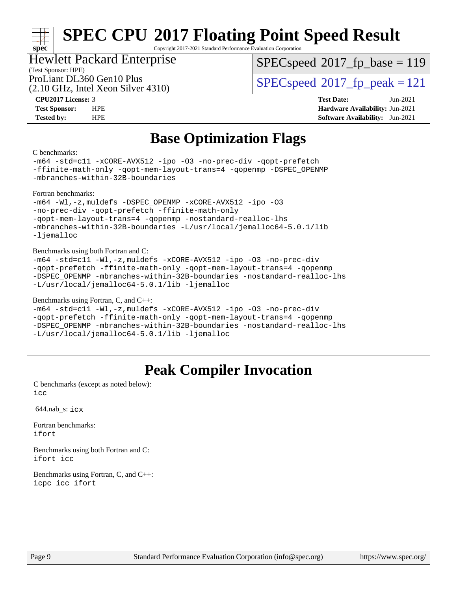Copyright 2017-2021 Standard Performance Evaluation Corporation

## Hewlett Packard Enterprise

[SPECspeed](http://www.spec.org/auto/cpu2017/Docs/result-fields.html#SPECspeed2017fpbase)<sup>®</sup>2017 fp base = 119

(Test Sponsor: HPE)

(2.10 GHz, Intel Xeon Silver 4310)

ProLiant DL360 Gen10 Plus  $\text{SPEC speed}^{\circ}2017\text{ fp-peak} = 121$ 

**[CPU2017 License:](http://www.spec.org/auto/cpu2017/Docs/result-fields.html#CPU2017License)** 3 **[Test Date:](http://www.spec.org/auto/cpu2017/Docs/result-fields.html#TestDate)** Jun-2021 **[Test Sponsor:](http://www.spec.org/auto/cpu2017/Docs/result-fields.html#TestSponsor)** HPE **[Hardware Availability:](http://www.spec.org/auto/cpu2017/Docs/result-fields.html#HardwareAvailability)** Jun-2021 **[Tested by:](http://www.spec.org/auto/cpu2017/Docs/result-fields.html#Testedby)** HPE **[Software Availability:](http://www.spec.org/auto/cpu2017/Docs/result-fields.html#SoftwareAvailability)** Jun-2021

## **[Base Optimization Flags](http://www.spec.org/auto/cpu2017/Docs/result-fields.html#BaseOptimizationFlags)**

#### [C benchmarks](http://www.spec.org/auto/cpu2017/Docs/result-fields.html#Cbenchmarks):

**[spec](http://www.spec.org/)**

[-m64](http://www.spec.org/cpu2017/results/res2021q3/cpu2017-20210621-27598.flags.html#user_CCbase_m64-icc) [-std=c11](http://www.spec.org/cpu2017/results/res2021q3/cpu2017-20210621-27598.flags.html#user_CCbase_std-icc-std_0e1c27790398a4642dfca32ffe6c27b5796f9c2d2676156f2e42c9c44eaad0c049b1cdb667a270c34d979996257aeb8fc440bfb01818dbc9357bd9d174cb8524) [-xCORE-AVX512](http://www.spec.org/cpu2017/results/res2021q3/cpu2017-20210621-27598.flags.html#user_CCbase_f-xCORE-AVX512) [-ipo](http://www.spec.org/cpu2017/results/res2021q3/cpu2017-20210621-27598.flags.html#user_CCbase_f-ipo) [-O3](http://www.spec.org/cpu2017/results/res2021q3/cpu2017-20210621-27598.flags.html#user_CCbase_f-O3) [-no-prec-div](http://www.spec.org/cpu2017/results/res2021q3/cpu2017-20210621-27598.flags.html#user_CCbase_f-no-prec-div) [-qopt-prefetch](http://www.spec.org/cpu2017/results/res2021q3/cpu2017-20210621-27598.flags.html#user_CCbase_f-qopt-prefetch) [-ffinite-math-only](http://www.spec.org/cpu2017/results/res2021q3/cpu2017-20210621-27598.flags.html#user_CCbase_f_finite_math_only_cb91587bd2077682c4b38af759c288ed7c732db004271a9512da14a4f8007909a5f1427ecbf1a0fb78ff2a814402c6114ac565ca162485bbcae155b5e4258871) [-qopt-mem-layout-trans=4](http://www.spec.org/cpu2017/results/res2021q3/cpu2017-20210621-27598.flags.html#user_CCbase_f-qopt-mem-layout-trans_fa39e755916c150a61361b7846f310bcdf6f04e385ef281cadf3647acec3f0ae266d1a1d22d972a7087a248fd4e6ca390a3634700869573d231a252c784941a8) [-qopenmp](http://www.spec.org/cpu2017/results/res2021q3/cpu2017-20210621-27598.flags.html#user_CCbase_qopenmp_16be0c44f24f464004c6784a7acb94aca937f053568ce72f94b139a11c7c168634a55f6653758ddd83bcf7b8463e8028bb0b48b77bcddc6b78d5d95bb1df2967) [-DSPEC\\_OPENMP](http://www.spec.org/cpu2017/results/res2021q3/cpu2017-20210621-27598.flags.html#suite_CCbase_DSPEC_OPENMP) [-mbranches-within-32B-boundaries](http://www.spec.org/cpu2017/results/res2021q3/cpu2017-20210621-27598.flags.html#user_CCbase_f-mbranches-within-32B-boundaries)

[Fortran benchmarks](http://www.spec.org/auto/cpu2017/Docs/result-fields.html#Fortranbenchmarks):

[-m64](http://www.spec.org/cpu2017/results/res2021q3/cpu2017-20210621-27598.flags.html#user_FCbase_m64-icc) [-Wl,-z,muldefs](http://www.spec.org/cpu2017/results/res2021q3/cpu2017-20210621-27598.flags.html#user_FCbase_link_force_multiple1_b4cbdb97b34bdee9ceefcfe54f4c8ea74255f0b02a4b23e853cdb0e18eb4525ac79b5a88067c842dd0ee6996c24547a27a4b99331201badda8798ef8a743f577) [-DSPEC\\_OPENMP](http://www.spec.org/cpu2017/results/res2021q3/cpu2017-20210621-27598.flags.html#suite_FCbase_DSPEC_OPENMP) [-xCORE-AVX512](http://www.spec.org/cpu2017/results/res2021q3/cpu2017-20210621-27598.flags.html#user_FCbase_f-xCORE-AVX512) [-ipo](http://www.spec.org/cpu2017/results/res2021q3/cpu2017-20210621-27598.flags.html#user_FCbase_f-ipo) [-O3](http://www.spec.org/cpu2017/results/res2021q3/cpu2017-20210621-27598.flags.html#user_FCbase_f-O3) [-no-prec-div](http://www.spec.org/cpu2017/results/res2021q3/cpu2017-20210621-27598.flags.html#user_FCbase_f-no-prec-div) [-qopt-prefetch](http://www.spec.org/cpu2017/results/res2021q3/cpu2017-20210621-27598.flags.html#user_FCbase_f-qopt-prefetch) [-ffinite-math-only](http://www.spec.org/cpu2017/results/res2021q3/cpu2017-20210621-27598.flags.html#user_FCbase_f_finite_math_only_cb91587bd2077682c4b38af759c288ed7c732db004271a9512da14a4f8007909a5f1427ecbf1a0fb78ff2a814402c6114ac565ca162485bbcae155b5e4258871) [-qopt-mem-layout-trans=4](http://www.spec.org/cpu2017/results/res2021q3/cpu2017-20210621-27598.flags.html#user_FCbase_f-qopt-mem-layout-trans_fa39e755916c150a61361b7846f310bcdf6f04e385ef281cadf3647acec3f0ae266d1a1d22d972a7087a248fd4e6ca390a3634700869573d231a252c784941a8) [-qopenmp](http://www.spec.org/cpu2017/results/res2021q3/cpu2017-20210621-27598.flags.html#user_FCbase_qopenmp_16be0c44f24f464004c6784a7acb94aca937f053568ce72f94b139a11c7c168634a55f6653758ddd83bcf7b8463e8028bb0b48b77bcddc6b78d5d95bb1df2967) [-nostandard-realloc-lhs](http://www.spec.org/cpu2017/results/res2021q3/cpu2017-20210621-27598.flags.html#user_FCbase_f_2003_std_realloc_82b4557e90729c0f113870c07e44d33d6f5a304b4f63d4c15d2d0f1fab99f5daaed73bdb9275d9ae411527f28b936061aa8b9c8f2d63842963b95c9dd6426b8a) [-mbranches-within-32B-boundaries](http://www.spec.org/cpu2017/results/res2021q3/cpu2017-20210621-27598.flags.html#user_FCbase_f-mbranches-within-32B-boundaries) [-L/usr/local/jemalloc64-5.0.1/lib](http://www.spec.org/cpu2017/results/res2021q3/cpu2017-20210621-27598.flags.html#user_FCbase_jemalloc_link_path64_1_cc289568b1a6c0fd3b62c91b824c27fcb5af5e8098e6ad028160d21144ef1b8aef3170d2acf0bee98a8da324cfe4f67d0a3d0c4cc4673d993d694dc2a0df248b) [-ljemalloc](http://www.spec.org/cpu2017/results/res2021q3/cpu2017-20210621-27598.flags.html#user_FCbase_jemalloc_link_lib_d1249b907c500fa1c0672f44f562e3d0f79738ae9e3c4a9c376d49f265a04b9c99b167ecedbf6711b3085be911c67ff61f150a17b3472be731631ba4d0471706)

[Benchmarks using both Fortran and C](http://www.spec.org/auto/cpu2017/Docs/result-fields.html#BenchmarksusingbothFortranandC):

[-m64](http://www.spec.org/cpu2017/results/res2021q3/cpu2017-20210621-27598.flags.html#user_CC_FCbase_m64-icc) [-std=c11](http://www.spec.org/cpu2017/results/res2021q3/cpu2017-20210621-27598.flags.html#user_CC_FCbase_std-icc-std_0e1c27790398a4642dfca32ffe6c27b5796f9c2d2676156f2e42c9c44eaad0c049b1cdb667a270c34d979996257aeb8fc440bfb01818dbc9357bd9d174cb8524) [-Wl,-z,muldefs](http://www.spec.org/cpu2017/results/res2021q3/cpu2017-20210621-27598.flags.html#user_CC_FCbase_link_force_multiple1_b4cbdb97b34bdee9ceefcfe54f4c8ea74255f0b02a4b23e853cdb0e18eb4525ac79b5a88067c842dd0ee6996c24547a27a4b99331201badda8798ef8a743f577) [-xCORE-AVX512](http://www.spec.org/cpu2017/results/res2021q3/cpu2017-20210621-27598.flags.html#user_CC_FCbase_f-xCORE-AVX512) [-ipo](http://www.spec.org/cpu2017/results/res2021q3/cpu2017-20210621-27598.flags.html#user_CC_FCbase_f-ipo) [-O3](http://www.spec.org/cpu2017/results/res2021q3/cpu2017-20210621-27598.flags.html#user_CC_FCbase_f-O3) [-no-prec-div](http://www.spec.org/cpu2017/results/res2021q3/cpu2017-20210621-27598.flags.html#user_CC_FCbase_f-no-prec-div) [-qopt-prefetch](http://www.spec.org/cpu2017/results/res2021q3/cpu2017-20210621-27598.flags.html#user_CC_FCbase_f-qopt-prefetch) [-ffinite-math-only](http://www.spec.org/cpu2017/results/res2021q3/cpu2017-20210621-27598.flags.html#user_CC_FCbase_f_finite_math_only_cb91587bd2077682c4b38af759c288ed7c732db004271a9512da14a4f8007909a5f1427ecbf1a0fb78ff2a814402c6114ac565ca162485bbcae155b5e4258871) [-qopt-mem-layout-trans=4](http://www.spec.org/cpu2017/results/res2021q3/cpu2017-20210621-27598.flags.html#user_CC_FCbase_f-qopt-mem-layout-trans_fa39e755916c150a61361b7846f310bcdf6f04e385ef281cadf3647acec3f0ae266d1a1d22d972a7087a248fd4e6ca390a3634700869573d231a252c784941a8) [-qopenmp](http://www.spec.org/cpu2017/results/res2021q3/cpu2017-20210621-27598.flags.html#user_CC_FCbase_qopenmp_16be0c44f24f464004c6784a7acb94aca937f053568ce72f94b139a11c7c168634a55f6653758ddd83bcf7b8463e8028bb0b48b77bcddc6b78d5d95bb1df2967) [-DSPEC\\_OPENMP](http://www.spec.org/cpu2017/results/res2021q3/cpu2017-20210621-27598.flags.html#suite_CC_FCbase_DSPEC_OPENMP) [-mbranches-within-32B-boundaries](http://www.spec.org/cpu2017/results/res2021q3/cpu2017-20210621-27598.flags.html#user_CC_FCbase_f-mbranches-within-32B-boundaries) [-nostandard-realloc-lhs](http://www.spec.org/cpu2017/results/res2021q3/cpu2017-20210621-27598.flags.html#user_CC_FCbase_f_2003_std_realloc_82b4557e90729c0f113870c07e44d33d6f5a304b4f63d4c15d2d0f1fab99f5daaed73bdb9275d9ae411527f28b936061aa8b9c8f2d63842963b95c9dd6426b8a) [-L/usr/local/jemalloc64-5.0.1/lib](http://www.spec.org/cpu2017/results/res2021q3/cpu2017-20210621-27598.flags.html#user_CC_FCbase_jemalloc_link_path64_1_cc289568b1a6c0fd3b62c91b824c27fcb5af5e8098e6ad028160d21144ef1b8aef3170d2acf0bee98a8da324cfe4f67d0a3d0c4cc4673d993d694dc2a0df248b) [-ljemalloc](http://www.spec.org/cpu2017/results/res2021q3/cpu2017-20210621-27598.flags.html#user_CC_FCbase_jemalloc_link_lib_d1249b907c500fa1c0672f44f562e3d0f79738ae9e3c4a9c376d49f265a04b9c99b167ecedbf6711b3085be911c67ff61f150a17b3472be731631ba4d0471706)

#### [Benchmarks using Fortran, C, and C++](http://www.spec.org/auto/cpu2017/Docs/result-fields.html#BenchmarksusingFortranCandCXX):

[-m64](http://www.spec.org/cpu2017/results/res2021q3/cpu2017-20210621-27598.flags.html#user_CC_CXX_FCbase_m64-icc) [-std=c11](http://www.spec.org/cpu2017/results/res2021q3/cpu2017-20210621-27598.flags.html#user_CC_CXX_FCbase_std-icc-std_0e1c27790398a4642dfca32ffe6c27b5796f9c2d2676156f2e42c9c44eaad0c049b1cdb667a270c34d979996257aeb8fc440bfb01818dbc9357bd9d174cb8524) [-Wl,-z,muldefs](http://www.spec.org/cpu2017/results/res2021q3/cpu2017-20210621-27598.flags.html#user_CC_CXX_FCbase_link_force_multiple1_b4cbdb97b34bdee9ceefcfe54f4c8ea74255f0b02a4b23e853cdb0e18eb4525ac79b5a88067c842dd0ee6996c24547a27a4b99331201badda8798ef8a743f577) [-xCORE-AVX512](http://www.spec.org/cpu2017/results/res2021q3/cpu2017-20210621-27598.flags.html#user_CC_CXX_FCbase_f-xCORE-AVX512) [-ipo](http://www.spec.org/cpu2017/results/res2021q3/cpu2017-20210621-27598.flags.html#user_CC_CXX_FCbase_f-ipo) [-O3](http://www.spec.org/cpu2017/results/res2021q3/cpu2017-20210621-27598.flags.html#user_CC_CXX_FCbase_f-O3) [-no-prec-div](http://www.spec.org/cpu2017/results/res2021q3/cpu2017-20210621-27598.flags.html#user_CC_CXX_FCbase_f-no-prec-div) [-qopt-prefetch](http://www.spec.org/cpu2017/results/res2021q3/cpu2017-20210621-27598.flags.html#user_CC_CXX_FCbase_f-qopt-prefetch) [-ffinite-math-only](http://www.spec.org/cpu2017/results/res2021q3/cpu2017-20210621-27598.flags.html#user_CC_CXX_FCbase_f_finite_math_only_cb91587bd2077682c4b38af759c288ed7c732db004271a9512da14a4f8007909a5f1427ecbf1a0fb78ff2a814402c6114ac565ca162485bbcae155b5e4258871) [-qopt-mem-layout-trans=4](http://www.spec.org/cpu2017/results/res2021q3/cpu2017-20210621-27598.flags.html#user_CC_CXX_FCbase_f-qopt-mem-layout-trans_fa39e755916c150a61361b7846f310bcdf6f04e385ef281cadf3647acec3f0ae266d1a1d22d972a7087a248fd4e6ca390a3634700869573d231a252c784941a8) [-qopenmp](http://www.spec.org/cpu2017/results/res2021q3/cpu2017-20210621-27598.flags.html#user_CC_CXX_FCbase_qopenmp_16be0c44f24f464004c6784a7acb94aca937f053568ce72f94b139a11c7c168634a55f6653758ddd83bcf7b8463e8028bb0b48b77bcddc6b78d5d95bb1df2967) [-DSPEC\\_OPENMP](http://www.spec.org/cpu2017/results/res2021q3/cpu2017-20210621-27598.flags.html#suite_CC_CXX_FCbase_DSPEC_OPENMP) [-mbranches-within-32B-boundaries](http://www.spec.org/cpu2017/results/res2021q3/cpu2017-20210621-27598.flags.html#user_CC_CXX_FCbase_f-mbranches-within-32B-boundaries) [-nostandard-realloc-lhs](http://www.spec.org/cpu2017/results/res2021q3/cpu2017-20210621-27598.flags.html#user_CC_CXX_FCbase_f_2003_std_realloc_82b4557e90729c0f113870c07e44d33d6f5a304b4f63d4c15d2d0f1fab99f5daaed73bdb9275d9ae411527f28b936061aa8b9c8f2d63842963b95c9dd6426b8a) [-L/usr/local/jemalloc64-5.0.1/lib](http://www.spec.org/cpu2017/results/res2021q3/cpu2017-20210621-27598.flags.html#user_CC_CXX_FCbase_jemalloc_link_path64_1_cc289568b1a6c0fd3b62c91b824c27fcb5af5e8098e6ad028160d21144ef1b8aef3170d2acf0bee98a8da324cfe4f67d0a3d0c4cc4673d993d694dc2a0df248b) [-ljemalloc](http://www.spec.org/cpu2017/results/res2021q3/cpu2017-20210621-27598.flags.html#user_CC_CXX_FCbase_jemalloc_link_lib_d1249b907c500fa1c0672f44f562e3d0f79738ae9e3c4a9c376d49f265a04b9c99b167ecedbf6711b3085be911c67ff61f150a17b3472be731631ba4d0471706)

## **[Peak Compiler Invocation](http://www.spec.org/auto/cpu2017/Docs/result-fields.html#PeakCompilerInvocation)**

[C benchmarks \(except as noted below\)](http://www.spec.org/auto/cpu2017/Docs/result-fields.html#Cbenchmarksexceptasnotedbelow): [icc](http://www.spec.org/cpu2017/results/res2021q3/cpu2017-20210621-27598.flags.html#user_CCpeak_intel_icc_66fc1ee009f7361af1fbd72ca7dcefbb700085f36577c54f309893dd4ec40d12360134090235512931783d35fd58c0460139e722d5067c5574d8eaf2b3e37e92)

644.nab\_s: [icx](http://www.spec.org/cpu2017/results/res2021q3/cpu2017-20210621-27598.flags.html#user_peakCCLD644_nab_s_intel_icx_fe2d28d19ae2a5db7c42fe0f2a2aed77cb715edd4aeb23434404a8be6683fe239869bb6ca8154ca98265c2e3b9226a719a0efe2953a4a7018c379b7010ccf087)

[Fortran benchmarks](http://www.spec.org/auto/cpu2017/Docs/result-fields.html#Fortranbenchmarks): [ifort](http://www.spec.org/cpu2017/results/res2021q3/cpu2017-20210621-27598.flags.html#user_FCpeak_intel_ifort_8111460550e3ca792625aed983ce982f94888b8b503583aa7ba2b8303487b4d8a21a13e7191a45c5fd58ff318f48f9492884d4413fa793fd88dd292cad7027ca)

[Benchmarks using both Fortran and C](http://www.spec.org/auto/cpu2017/Docs/result-fields.html#BenchmarksusingbothFortranandC): [ifort](http://www.spec.org/cpu2017/results/res2021q3/cpu2017-20210621-27598.flags.html#user_CC_FCpeak_intel_ifort_8111460550e3ca792625aed983ce982f94888b8b503583aa7ba2b8303487b4d8a21a13e7191a45c5fd58ff318f48f9492884d4413fa793fd88dd292cad7027ca) [icc](http://www.spec.org/cpu2017/results/res2021q3/cpu2017-20210621-27598.flags.html#user_CC_FCpeak_intel_icc_66fc1ee009f7361af1fbd72ca7dcefbb700085f36577c54f309893dd4ec40d12360134090235512931783d35fd58c0460139e722d5067c5574d8eaf2b3e37e92)

[Benchmarks using Fortran, C, and C++:](http://www.spec.org/auto/cpu2017/Docs/result-fields.html#BenchmarksusingFortranCandCXX) [icpc](http://www.spec.org/cpu2017/results/res2021q3/cpu2017-20210621-27598.flags.html#user_CC_CXX_FCpeak_intel_icpc_c510b6838c7f56d33e37e94d029a35b4a7bccf4766a728ee175e80a419847e808290a9b78be685c44ab727ea267ec2f070ec5dc83b407c0218cded6866a35d07) [icc](http://www.spec.org/cpu2017/results/res2021q3/cpu2017-20210621-27598.flags.html#user_CC_CXX_FCpeak_intel_icc_66fc1ee009f7361af1fbd72ca7dcefbb700085f36577c54f309893dd4ec40d12360134090235512931783d35fd58c0460139e722d5067c5574d8eaf2b3e37e92) [ifort](http://www.spec.org/cpu2017/results/res2021q3/cpu2017-20210621-27598.flags.html#user_CC_CXX_FCpeak_intel_ifort_8111460550e3ca792625aed983ce982f94888b8b503583aa7ba2b8303487b4d8a21a13e7191a45c5fd58ff318f48f9492884d4413fa793fd88dd292cad7027ca)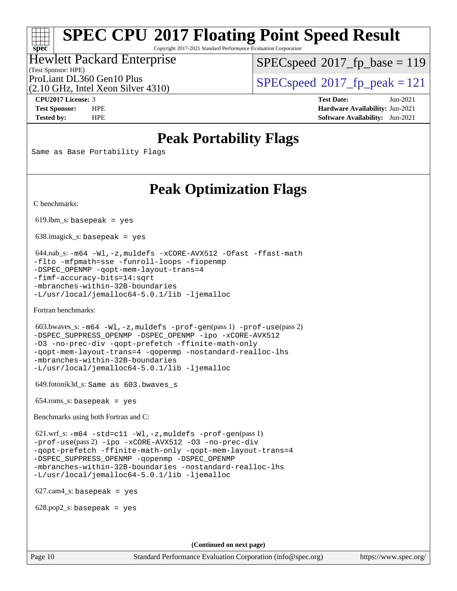Copyright 2017-2021 Standard Performance Evaluation Corporation

#### (Test Sponsor: HPE) Hewlett Packard Enterprise

[SPECspeed](http://www.spec.org/auto/cpu2017/Docs/result-fields.html#SPECspeed2017fpbase)<sup>®</sup>2017 fp base = 119

(2.10 GHz, Intel Xeon Silver 4310)

ProLiant DL360 Gen10 Plus  $\text{SPEC speed}^{\circ}2017\text{ }$  fp\_peak = 121

**[spec](http://www.spec.org/)**

**[CPU2017 License:](http://www.spec.org/auto/cpu2017/Docs/result-fields.html#CPU2017License)** 3 **[Test Date:](http://www.spec.org/auto/cpu2017/Docs/result-fields.html#TestDate)** Jun-2021 **[Test Sponsor:](http://www.spec.org/auto/cpu2017/Docs/result-fields.html#TestSponsor)** HPE **[Hardware Availability:](http://www.spec.org/auto/cpu2017/Docs/result-fields.html#HardwareAvailability)** Jun-2021 **[Tested by:](http://www.spec.org/auto/cpu2017/Docs/result-fields.html#Testedby)** HPE **[Software Availability:](http://www.spec.org/auto/cpu2017/Docs/result-fields.html#SoftwareAvailability)** Jun-2021

## **[Peak Portability Flags](http://www.spec.org/auto/cpu2017/Docs/result-fields.html#PeakPortabilityFlags)**

Same as Base Portability Flags

## **[Peak Optimization Flags](http://www.spec.org/auto/cpu2017/Docs/result-fields.html#PeakOptimizationFlags)**

[C benchmarks](http://www.spec.org/auto/cpu2017/Docs/result-fields.html#Cbenchmarks):

 $619.$ lbm\_s: basepeak = yes

638.imagick\_s: basepeak = yes

```
 644.nab_s: -m64 -Wl,-z,muldefs -xCORE-AVX512 -Ofast -ffast-math
-flto -mfpmath=sse -funroll-loops -fiopenmp
-DSPEC_OPENMP -qopt-mem-layout-trans=4
-fimf-accuracy-bits=14:sqrt
-mbranches-within-32B-boundaries
-L/usr/local/jemalloc64-5.0.1/lib -ljemalloc
```
[Fortran benchmarks](http://www.spec.org/auto/cpu2017/Docs/result-fields.html#Fortranbenchmarks):

```
 603.bwaves_s: -m64 -Wl,-z,muldefs -prof-gen(pass 1) -prof-use(pass 2)
-DSPEC_SUPPRESS_OPENMP -DSPEC_OPENMP -ipo -xCORE-AVX512
-O3 -no-prec-div -qopt-prefetch -ffinite-math-only
-qopt-mem-layout-trans=4 -qopenmp -nostandard-realloc-lhs
-mbranches-within-32B-boundaries
-L/usr/local/jemalloc64-5.0.1/lib -ljemalloc
```
649.fotonik3d\_s: Same as 603.bwaves\_s

654.roms\_s: basepeak = yes

[Benchmarks using both Fortran and C](http://www.spec.org/auto/cpu2017/Docs/result-fields.html#BenchmarksusingbothFortranandC):

 621.wrf\_s: [-m64](http://www.spec.org/cpu2017/results/res2021q3/cpu2017-20210621-27598.flags.html#user_peakCCFCLD621_wrf_s_m64-icc) [-std=c11](http://www.spec.org/cpu2017/results/res2021q3/cpu2017-20210621-27598.flags.html#user_peakCC621_wrf_s_std-icc-std_0e1c27790398a4642dfca32ffe6c27b5796f9c2d2676156f2e42c9c44eaad0c049b1cdb667a270c34d979996257aeb8fc440bfb01818dbc9357bd9d174cb8524) [-Wl,-z,muldefs](http://www.spec.org/cpu2017/results/res2021q3/cpu2017-20210621-27598.flags.html#user_peakEXTRA_LDFLAGS621_wrf_s_link_force_multiple1_b4cbdb97b34bdee9ceefcfe54f4c8ea74255f0b02a4b23e853cdb0e18eb4525ac79b5a88067c842dd0ee6996c24547a27a4b99331201badda8798ef8a743f577) [-prof-gen](http://www.spec.org/cpu2017/results/res2021q3/cpu2017-20210621-27598.flags.html#user_peakPASS1_CFLAGSPASS1_FFLAGSPASS1_LDFLAGS621_wrf_s_prof_gen_5aa4926d6013ddb2a31985c654b3eb18169fc0c6952a63635c234f711e6e63dd76e94ad52365559451ec499a2cdb89e4dc58ba4c67ef54ca681ffbe1461d6b36)(pass 1) [-prof-use](http://www.spec.org/cpu2017/results/res2021q3/cpu2017-20210621-27598.flags.html#user_peakPASS2_CFLAGSPASS2_FFLAGSPASS2_LDFLAGS621_wrf_s_prof_use_1a21ceae95f36a2b53c25747139a6c16ca95bd9def2a207b4f0849963b97e94f5260e30a0c64f4bb623698870e679ca08317ef8150905d41bd88c6f78df73f19)(pass 2) [-ipo](http://www.spec.org/cpu2017/results/res2021q3/cpu2017-20210621-27598.flags.html#user_peakPASS1_COPTIMIZEPASS1_FOPTIMIZEPASS2_COPTIMIZEPASS2_FOPTIMIZE621_wrf_s_f-ipo) [-xCORE-AVX512](http://www.spec.org/cpu2017/results/res2021q3/cpu2017-20210621-27598.flags.html#user_peakPASS2_COPTIMIZEPASS2_FOPTIMIZE621_wrf_s_f-xCORE-AVX512) [-O3](http://www.spec.org/cpu2017/results/res2021q3/cpu2017-20210621-27598.flags.html#user_peakPASS1_COPTIMIZEPASS1_FOPTIMIZEPASS2_COPTIMIZEPASS2_FOPTIMIZE621_wrf_s_f-O3) [-no-prec-div](http://www.spec.org/cpu2017/results/res2021q3/cpu2017-20210621-27598.flags.html#user_peakPASS1_COPTIMIZEPASS1_FOPTIMIZEPASS2_COPTIMIZEPASS2_FOPTIMIZE621_wrf_s_f-no-prec-div) [-qopt-prefetch](http://www.spec.org/cpu2017/results/res2021q3/cpu2017-20210621-27598.flags.html#user_peakPASS1_COPTIMIZEPASS1_FOPTIMIZEPASS2_COPTIMIZEPASS2_FOPTIMIZE621_wrf_s_f-qopt-prefetch) [-ffinite-math-only](http://www.spec.org/cpu2017/results/res2021q3/cpu2017-20210621-27598.flags.html#user_peakPASS1_COPTIMIZEPASS1_FOPTIMIZEPASS2_COPTIMIZEPASS2_FOPTIMIZE621_wrf_s_f_finite_math_only_cb91587bd2077682c4b38af759c288ed7c732db004271a9512da14a4f8007909a5f1427ecbf1a0fb78ff2a814402c6114ac565ca162485bbcae155b5e4258871) [-qopt-mem-layout-trans=4](http://www.spec.org/cpu2017/results/res2021q3/cpu2017-20210621-27598.flags.html#user_peakPASS1_COPTIMIZEPASS1_FOPTIMIZEPASS2_COPTIMIZEPASS2_FOPTIMIZE621_wrf_s_f-qopt-mem-layout-trans_fa39e755916c150a61361b7846f310bcdf6f04e385ef281cadf3647acec3f0ae266d1a1d22d972a7087a248fd4e6ca390a3634700869573d231a252c784941a8) [-DSPEC\\_SUPPRESS\\_OPENMP](http://www.spec.org/cpu2017/results/res2021q3/cpu2017-20210621-27598.flags.html#suite_peakPASS1_COPTIMIZEPASS1_FOPTIMIZE621_wrf_s_DSPEC_SUPPRESS_OPENMP) [-qopenmp](http://www.spec.org/cpu2017/results/res2021q3/cpu2017-20210621-27598.flags.html#user_peakPASS2_COPTIMIZEPASS2_FOPTIMIZE621_wrf_s_qopenmp_16be0c44f24f464004c6784a7acb94aca937f053568ce72f94b139a11c7c168634a55f6653758ddd83bcf7b8463e8028bb0b48b77bcddc6b78d5d95bb1df2967) [-DSPEC\\_OPENMP](http://www.spec.org/cpu2017/results/res2021q3/cpu2017-20210621-27598.flags.html#suite_peakPASS2_COPTIMIZEPASS2_FOPTIMIZE621_wrf_s_DSPEC_OPENMP) [-mbranches-within-32B-boundaries](http://www.spec.org/cpu2017/results/res2021q3/cpu2017-20210621-27598.flags.html#user_peakEXTRA_COPTIMIZEEXTRA_FOPTIMIZE621_wrf_s_f-mbranches-within-32B-boundaries) [-nostandard-realloc-lhs](http://www.spec.org/cpu2017/results/res2021q3/cpu2017-20210621-27598.flags.html#user_peakEXTRA_FOPTIMIZE621_wrf_s_f_2003_std_realloc_82b4557e90729c0f113870c07e44d33d6f5a304b4f63d4c15d2d0f1fab99f5daaed73bdb9275d9ae411527f28b936061aa8b9c8f2d63842963b95c9dd6426b8a) [-L/usr/local/jemalloc64-5.0.1/lib](http://www.spec.org/cpu2017/results/res2021q3/cpu2017-20210621-27598.flags.html#user_peakEXTRA_LIBS621_wrf_s_jemalloc_link_path64_1_cc289568b1a6c0fd3b62c91b824c27fcb5af5e8098e6ad028160d21144ef1b8aef3170d2acf0bee98a8da324cfe4f67d0a3d0c4cc4673d993d694dc2a0df248b) [-ljemalloc](http://www.spec.org/cpu2017/results/res2021q3/cpu2017-20210621-27598.flags.html#user_peakEXTRA_LIBS621_wrf_s_jemalloc_link_lib_d1249b907c500fa1c0672f44f562e3d0f79738ae9e3c4a9c376d49f265a04b9c99b167ecedbf6711b3085be911c67ff61f150a17b3472be731631ba4d0471706)

627.cam4\_s: basepeak = yes

 $628.pop2_s:$  basepeak = yes

**(Continued on next page)**